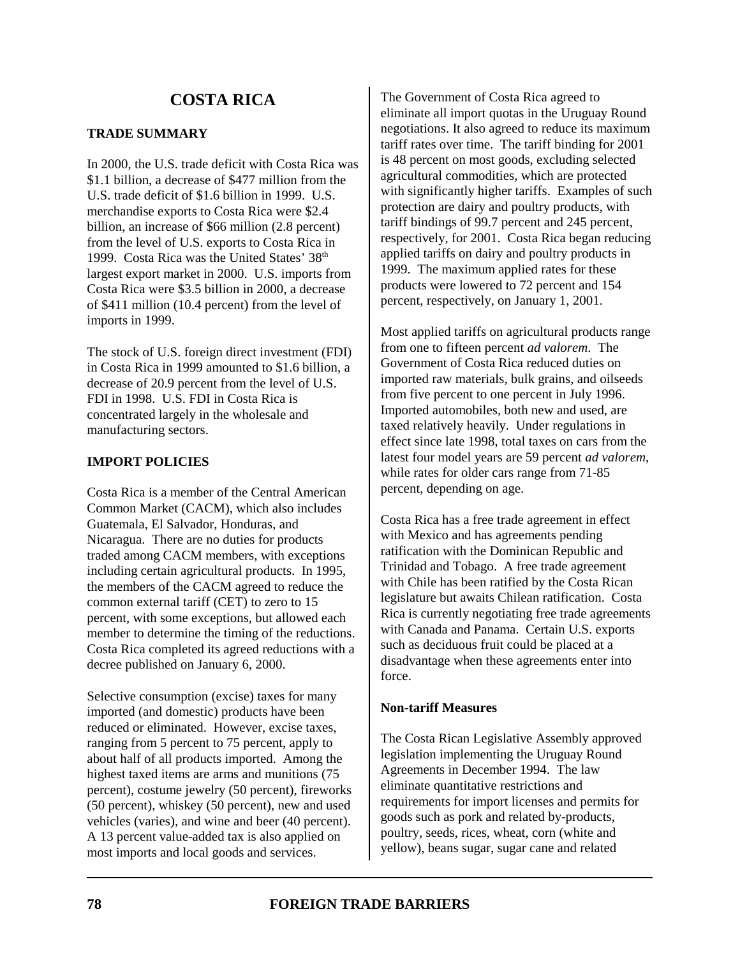# **TRADE SUMMARY**

In 2000, the U.S. trade deficit with Costa Rica was \$1.1 billion, a decrease of \$477 million from the U.S. trade deficit of \$1.6 billion in 1999. U.S. merchandise exports to Costa Rica were \$2.4 billion, an increase of \$66 million (2.8 percent) from the level of U.S. exports to Costa Rica in 1999. Costa Rica was the United States' 38<sup>th</sup> largest export market in 2000. U.S. imports from Costa Rica were \$3.5 billion in 2000, a decrease of \$411 million (10.4 percent) from the level of imports in 1999.

The stock of U.S. foreign direct investment (FDI) in Costa Rica in 1999 amounted to \$1.6 billion, a decrease of 20.9 percent from the level of U.S. FDI in 1998. U.S. FDI in Costa Rica is concentrated largely in the wholesale and manufacturing sectors.

# **IMPORT POLICIES**

Costa Rica is a member of the Central American Common Market (CACM), which also includes Guatemala, El Salvador, Honduras, and Nicaragua. There are no duties for products traded among CACM members, with exceptions including certain agricultural products. In 1995, the members of the CACM agreed to reduce the common external tariff (CET) to zero to 15 percent, with some exceptions, but allowed each member to determine the timing of the reductions. Costa Rica completed its agreed reductions with a decree published on January 6, 2000.

Selective consumption (excise) taxes for many imported (and domestic) products have been reduced or eliminated. However, excise taxes, ranging from 5 percent to 75 percent, apply to about half of all products imported. Among the highest taxed items are arms and munitions (75 percent), costume jewelry (50 percent), fireworks (50 percent), whiskey (50 percent), new and used vehicles (varies), and wine and beer (40 percent). A 13 percent value-added tax is also applied on most imports and local goods and services.

The Government of Costa Rica agreed to eliminate all import quotas in the Uruguay Round negotiations. It also agreed to reduce its maximum tariff rates over time. The tariff binding for 2001 is 48 percent on most goods, excluding selected agricultural commodities, which are protected with significantly higher tariffs. Examples of such protection are dairy and poultry products, with tariff bindings of 99.7 percent and 245 percent, respectively, for 2001. Costa Rica began reducing applied tariffs on dairy and poultry products in 1999. The maximum applied rates for these products were lowered to 72 percent and 154 percent, respectively, on January 1, 2001.

Most applied tariffs on agricultural products range from one to fifteen percent *ad valorem*. The Government of Costa Rica reduced duties on imported raw materials, bulk grains, and oilseeds from five percent to one percent in July 1996. Imported automobiles, both new and used, are taxed relatively heavily. Under regulations in effect since late 1998, total taxes on cars from the latest four model years are 59 percent *ad valorem*, while rates for older cars range from 71-85 percent, depending on age.

Costa Rica has a free trade agreement in effect with Mexico and has agreements pending ratification with the Dominican Republic and Trinidad and Tobago. A free trade agreement with Chile has been ratified by the Costa Rican legislature but awaits Chilean ratification. Costa Rica is currently negotiating free trade agreements with Canada and Panama. Certain U.S. exports such as deciduous fruit could be placed at a disadvantage when these agreements enter into force.

## **Non-tariff Measures**

The Costa Rican Legislative Assembly approved legislation implementing the Uruguay Round Agreements in December 1994. The law eliminate quantitative restrictions and requirements for import licenses and permits for goods such as pork and related by-products, poultry, seeds, rices, wheat, corn (white and yellow), beans sugar, sugar cane and related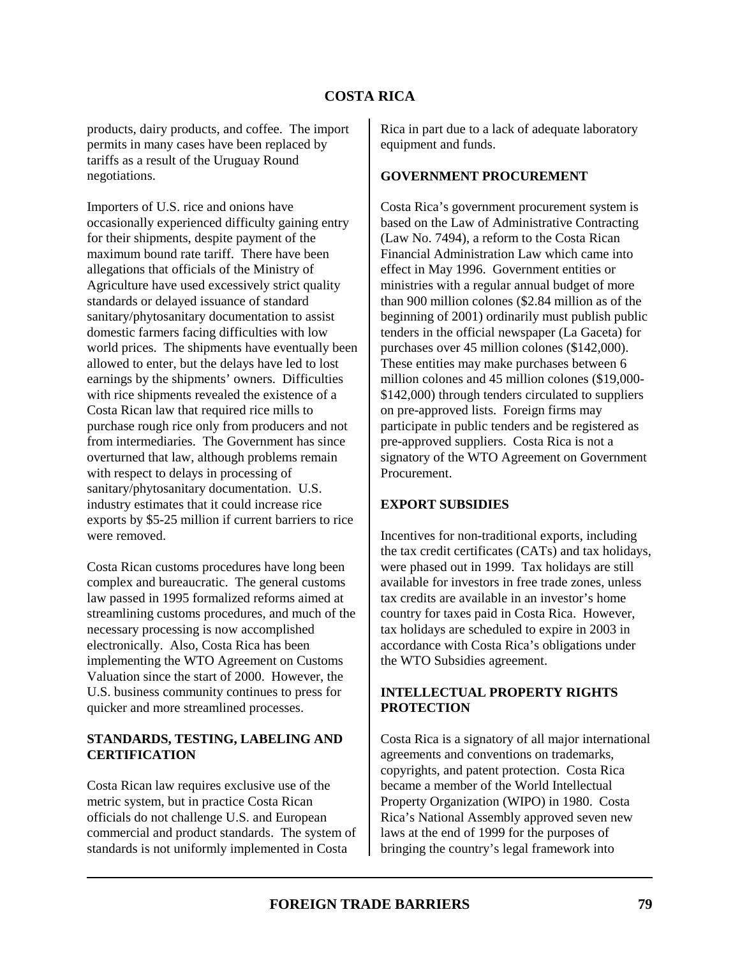products, dairy products, and coffee. The import permits in many cases have been replaced by tariffs as a result of the Uruguay Round negotiations.

Importers of U.S. rice and onions have occasionally experienced difficulty gaining entry for their shipments, despite payment of the maximum bound rate tariff. There have been allegations that officials of the Ministry of Agriculture have used excessively strict quality standards or delayed issuance of standard sanitary/phytosanitary documentation to assist domestic farmers facing difficulties with low world prices. The shipments have eventually been allowed to enter, but the delays have led to lost earnings by the shipments' owners. Difficulties with rice shipments revealed the existence of a Costa Rican law that required rice mills to purchase rough rice only from producers and not from intermediaries. The Government has since overturned that law, although problems remain with respect to delays in processing of sanitary/phytosanitary documentation. U.S. industry estimates that it could increase rice exports by \$5-25 million if current barriers to rice were removed.

Costa Rican customs procedures have long been complex and bureaucratic. The general customs law passed in 1995 formalized reforms aimed at streamlining customs procedures, and much of the necessary processing is now accomplished electronically. Also, Costa Rica has been implementing the WTO Agreement on Customs Valuation since the start of 2000. However, the U.S. business community continues to press for quicker and more streamlined processes.

#### **STANDARDS, TESTING, LABELING AND CERTIFICATION**

Costa Rican law requires exclusive use of the metric system, but in practice Costa Rican officials do not challenge U.S. and European commercial and product standards. The system of standards is not uniformly implemented in Costa

Rica in part due to a lack of adequate laboratory equipment and funds.

#### **GOVERNMENT PROCUREMENT**

Costa Rica's government procurement system is based on the Law of Administrative Contracting (Law No. 7494), a reform to the Costa Rican Financial Administration Law which came into effect in May 1996. Government entities or ministries with a regular annual budget of more than 900 million colones (\$2.84 million as of the beginning of 2001) ordinarily must publish public tenders in the official newspaper (La Gaceta) for purchases over 45 million colones (\$142,000). These entities may make purchases between 6 million colones and 45 million colones (\$19,000- \$142,000) through tenders circulated to suppliers on pre-approved lists. Foreign firms may participate in public tenders and be registered as pre-approved suppliers. Costa Rica is not a signatory of the WTO Agreement on Government **Procurement** 

## **EXPORT SUBSIDIES**

Incentives for non-traditional exports, including the tax credit certificates (CATs) and tax holidays, were phased out in 1999. Tax holidays are still available for investors in free trade zones, unless tax credits are available in an investor's home country for taxes paid in Costa Rica. However, tax holidays are scheduled to expire in 2003 in accordance with Costa Rica's obligations under the WTO Subsidies agreement.

## **INTELLECTUAL PROPERTY RIGHTS PROTECTION**

Costa Rica is a signatory of all major international agreements and conventions on trademarks, copyrights, and patent protection. Costa Rica became a member of the World Intellectual Property Organization (WIPO) in 1980. Costa Rica's National Assembly approved seven new laws at the end of 1999 for the purposes of bringing the country's legal framework into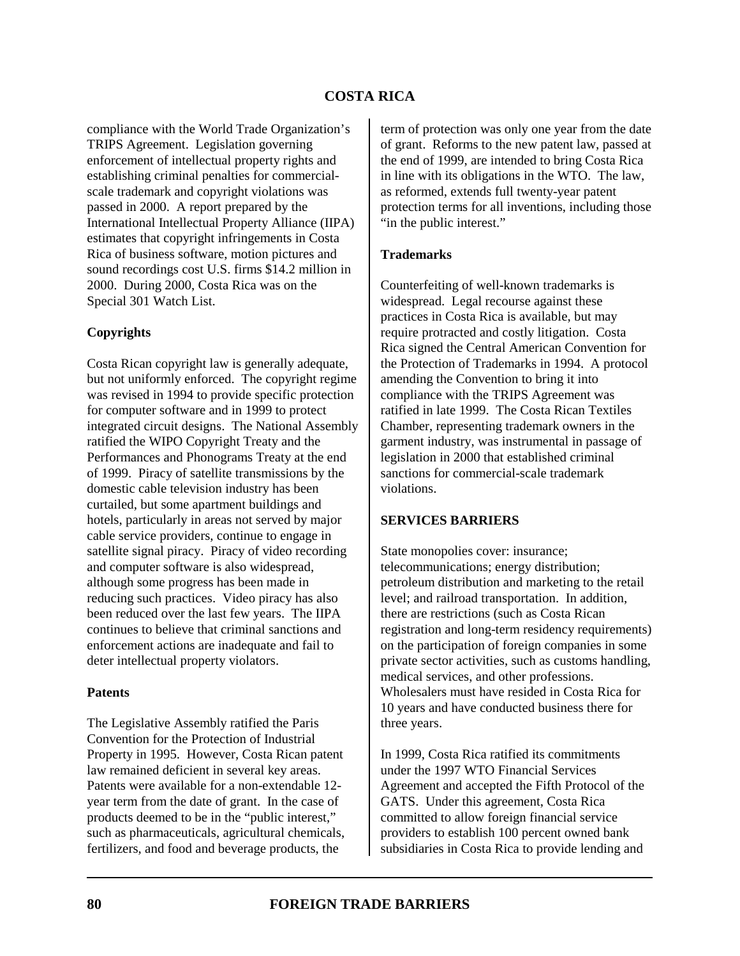compliance with the World Trade Organization's TRIPS Agreement. Legislation governing enforcement of intellectual property rights and establishing criminal penalties for commercialscale trademark and copyright violations was passed in 2000. A report prepared by the International Intellectual Property Alliance (IIPA) estimates that copyright infringements in Costa Rica of business software, motion pictures and sound recordings cost U.S. firms \$14.2 million in 2000. During 2000, Costa Rica was on the Special 301 Watch List.

#### **Copyrights**

Costa Rican copyright law is generally adequate, but not uniformly enforced. The copyright regime was revised in 1994 to provide specific protection for computer software and in 1999 to protect integrated circuit designs. The National Assembly ratified the WIPO Copyright Treaty and the Performances and Phonograms Treaty at the end of 1999. Piracy of satellite transmissions by the domestic cable television industry has been curtailed, but some apartment buildings and hotels, particularly in areas not served by major cable service providers, continue to engage in satellite signal piracy. Piracy of video recording and computer software is also widespread, although some progress has been made in reducing such practices. Video piracy has also been reduced over the last few years. The IIPA continues to believe that criminal sanctions and enforcement actions are inadequate and fail to deter intellectual property violators.

#### **Patents**

The Legislative Assembly ratified the Paris Convention for the Protection of Industrial Property in 1995. However, Costa Rican patent law remained deficient in several key areas. Patents were available for a non-extendable 12 year term from the date of grant. In the case of products deemed to be in the "public interest," such as pharmaceuticals, agricultural chemicals, fertilizers, and food and beverage products, the

term of protection was only one year from the date of grant. Reforms to the new patent law, passed at the end of 1999, are intended to bring Costa Rica in line with its obligations in the WTO. The law, as reformed, extends full twenty-year patent protection terms for all inventions, including those "in the public interest."

#### **Trademarks**

Counterfeiting of well-known trademarks is widespread. Legal recourse against these practices in Costa Rica is available, but may require protracted and costly litigation. Costa Rica signed the Central American Convention for the Protection of Trademarks in 1994. A protocol amending the Convention to bring it into compliance with the TRIPS Agreement was ratified in late 1999. The Costa Rican Textiles Chamber, representing trademark owners in the garment industry, was instrumental in passage of legislation in 2000 that established criminal sanctions for commercial-scale trademark violations.

#### **SERVICES BARRIERS**

State monopolies cover: insurance; telecommunications; energy distribution; petroleum distribution and marketing to the retail level; and railroad transportation. In addition, there are restrictions (such as Costa Rican registration and long-term residency requirements) on the participation of foreign companies in some private sector activities, such as customs handling, medical services, and other professions. Wholesalers must have resided in Costa Rica for 10 years and have conducted business there for three years.

In 1999, Costa Rica ratified its commitments under the 1997 WTO Financial Services Agreement and accepted the Fifth Protocol of the GATS. Under this agreement, Costa Rica committed to allow foreign financial service providers to establish 100 percent owned bank subsidiaries in Costa Rica to provide lending and